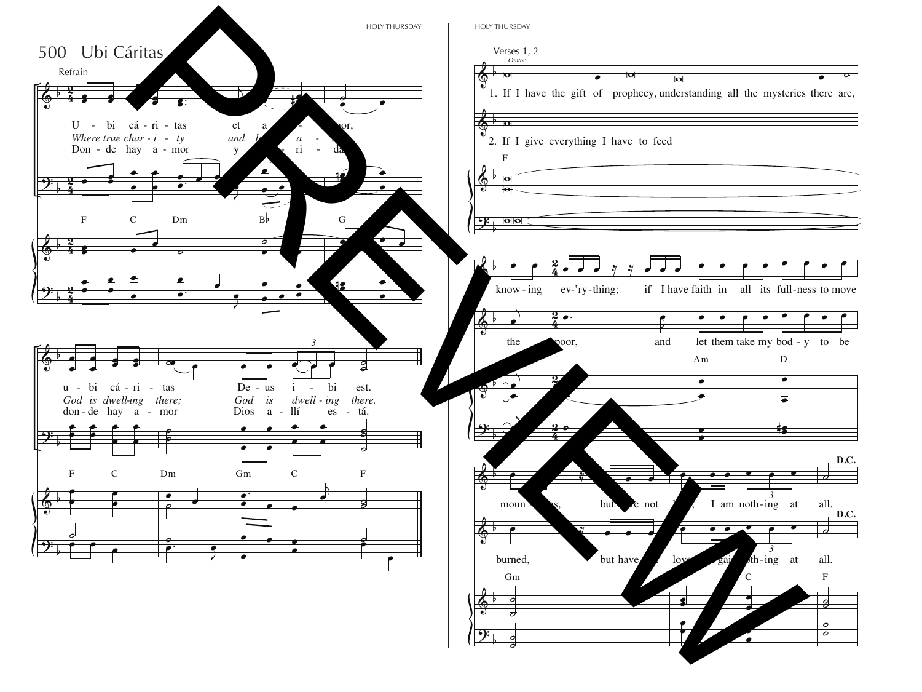